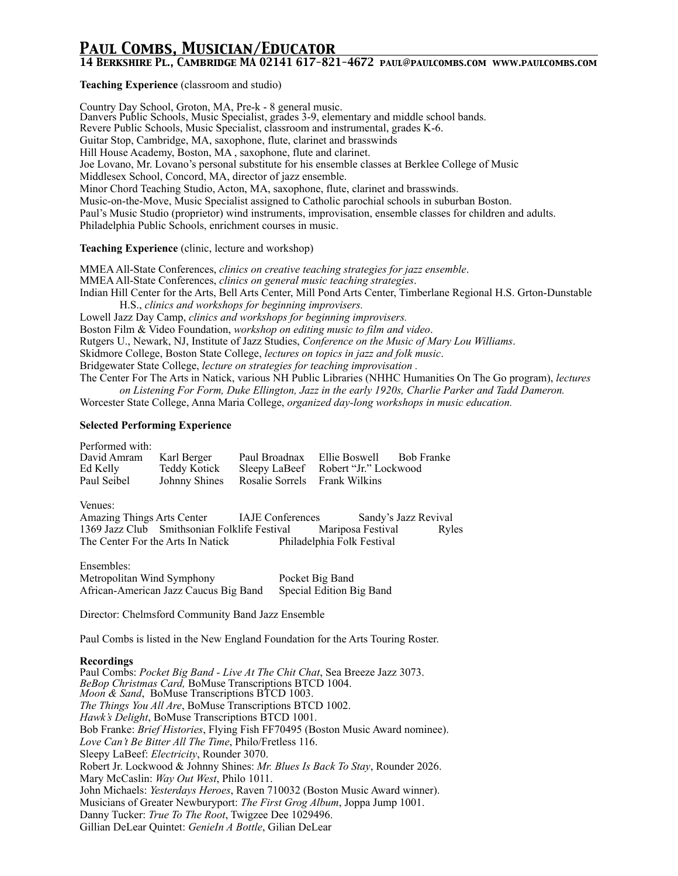# *Paul Combs, Musician/Educator*

## *14 Berkshire Pl., Cambridge MA 02141 617-821-4672 paul@paulcombs.com www.paulcombs.com*

**Teaching Experience** (classroom and studio)

Country Day School, Groton, MA, Pre-k - 8 general music. Danvers Public Schools, Music Specialist, grades 3-9, elementary and middle school bands. Revere Public Schools, Music Specialist, classroom and instrumental, grades K-6. Guitar Stop, Cambridge, MA, saxophone, flute, clarinet and brasswinds Hill House Academy, Boston, MA , saxophone, flute and clarinet. Joe Lovano, Mr. Lovano's personal substitute for his ensemble classes at Berklee College of Music Middlesex School, Concord, MA, director of jazz ensemble. Minor Chord Teaching Studio, Acton, MA, saxophone, flute, clarinet and brasswinds. Music-on-the-Move, Music Specialist assigned to Catholic parochial schools in suburban Boston. Paul's Music Studio (proprietor) wind instruments, improvisation, ensemble classes for children and adults. Philadelphia Public Schools, enrichment courses in music.

#### **Teaching Experience** (clinic, lecture and workshop)

MMEA All-State Conferences, *clinics on creative teaching strategies for jazz ensemble*. MMEA All-State Conferences, *clinics on general music teaching strategies*. Indian Hill Center for the Arts, Bell Arts Center, Mill Pond Arts Center, Timberlane Regional H.S. Grton-Dunstable H.S., *clinics and workshops for beginning improvisers.* Lowell Jazz Day Camp, *clinics and workshops for beginning improvisers.* Boston Film & Video Foundation, *workshop on editing music to film and video*. Rutgers U., Newark, NJ, Institute of Jazz Studies, *Conference on the Music of Mary Lou Williams*.

Skidmore College, Boston State College, *lectures on topics in jazz and folk music*.

Bridgewater State College, *lecture on strategies for teaching improvisation .*

The Center For The Arts in Natick, various NH Public Libraries (NHHC Humanities On The Go program), *lectures on Listening For Form, Duke Ellington, Jazz in the early 1920s, Charlie Parker and Tadd Dameron.* 

Worcester State College, Anna Maria College, *organized day-long workshops in music education.*

### **Selected Performing Experience**

Performed with: David Amram Karl Berger Paul Broadnax Ellie Boswell Bob Franke Sleepy LaBeef Robert "Jr." Lockwood Paul Seibel Johnny Shines Rosalie Sorrels Frank Wilkins

Venues:

Amazing Things Arts Center IAJE Conferences Sandy's Jazz Revival 1369 Jazz Club Smithsonian Folklife Festival Mariposa Festival Ryles The Center For the Arts In Natick Philadelphia Folk Festival

Ensembles: Metropolitan Wind Symphony Pocket Big Band African-American Jazz Caucus Big Band Special Edition Big Band

Director: Chelmsford Community Band Jazz Ensemble

Paul Combs is listed in the New England Foundation for the Arts Touring Roster.

#### **Recordings**

Paul Combs: *Pocket Big Band - Live At The Chit Chat*, Sea Breeze Jazz 3073. *BeBop Christmas Card,* BoMuse Transcriptions BTCD 1004. *Moon & Sand*, BoMuse Transcriptions BTCD 1003. *The Things You All Are*, BoMuse Transcriptions BTCD 1002. *Hawk's Delight*, BoMuse Transcriptions BTCD 1001. Bob Franke: *Brief Histories*, Flying Fish FF70495 (Boston Music Award nominee). *Love Can't Be Bitter All The Time*, Philo/Fretless 116. Sleepy LaBeef: *Electricity*, Rounder 3070. Robert Jr. Lockwood & Johnny Shines: *Mr. Blues Is Back To Stay*, Rounder 2026. Mary McCaslin: *Way Out West*, Philo 1011. John Michaels: *Yesterdays Heroes*, Raven 710032 (Boston Music Award winner). Musicians of Greater Newburyport: *The First Grog Album*, Joppa Jump 1001. Danny Tucker: *True To The Root*, Twigzee Dee 1029496. Gillian DeLear Quintet: *GenieIn A Bottle*, Gilian DeLear